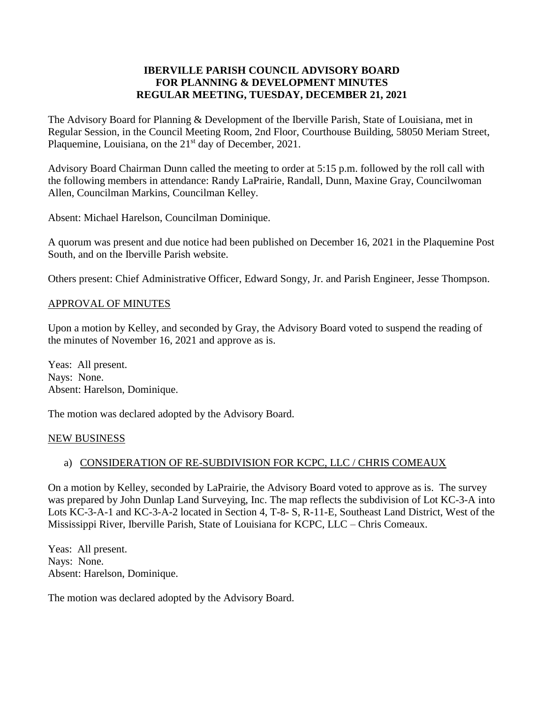### **IBERVILLE PARISH COUNCIL ADVISORY BOARD FOR PLANNING & DEVELOPMENT MINUTES REGULAR MEETING, TUESDAY, DECEMBER 21, 2021**

The Advisory Board for Planning & Development of the Iberville Parish, State of Louisiana, met in Regular Session, in the Council Meeting Room, 2nd Floor, Courthouse Building, 58050 Meriam Street, Plaquemine, Louisiana, on the  $21<sup>st</sup>$  day of December, 2021.

Advisory Board Chairman Dunn called the meeting to order at 5:15 p.m. followed by the roll call with the following members in attendance: Randy LaPrairie, Randall, Dunn, Maxine Gray, Councilwoman Allen, Councilman Markins, Councilman Kelley.

Absent: Michael Harelson, Councilman Dominique.

A quorum was present and due notice had been published on December 16, 2021 in the Plaquemine Post South, and on the Iberville Parish website.

Others present: Chief Administrative Officer, Edward Songy, Jr. and Parish Engineer, Jesse Thompson.

### APPROVAL OF MINUTES

Upon a motion by Kelley, and seconded by Gray, the Advisory Board voted to suspend the reading of the minutes of November 16, 2021 and approve as is.

Yeas: All present. Nays: None. Absent: Harelson, Dominique.

The motion was declared adopted by the Advisory Board.

### NEW BUSINESS

# a) CONSIDERATION OF RE-SUBDIVISION FOR KCPC, LLC / CHRIS COMEAUX

On a motion by Kelley, seconded by LaPrairie, the Advisory Board voted to approve as is. The survey was prepared by John Dunlap Land Surveying, Inc. The map reflects the subdivision of Lot KC-3-A into Lots KC-3-A-1 and KC-3-A-2 located in Section 4, T-8- S, R-11-E, Southeast Land District, West of the Mississippi River, Iberville Parish, State of Louisiana for KCPC, LLC – Chris Comeaux.

Yeas: All present. Nays: None. Absent: Harelson, Dominique.

The motion was declared adopted by the Advisory Board.